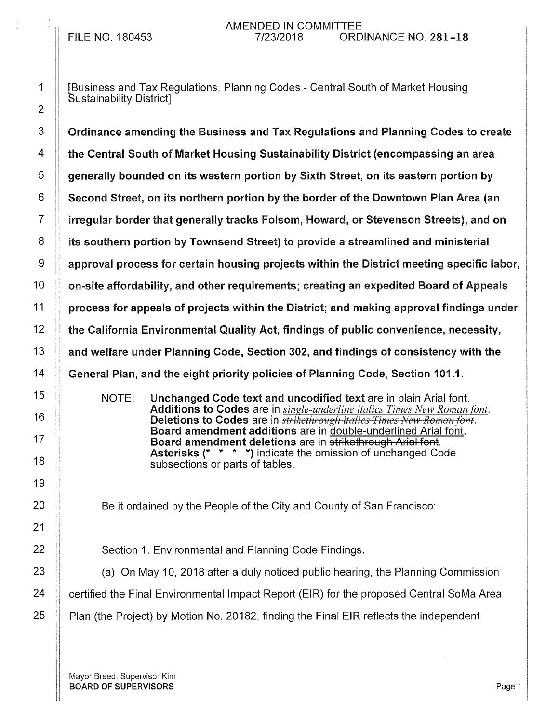## AMENDED IN COMMITTEE<br>7/23/2018 0RD FILE NO. 180453 7/23/2018 ORDINANCE NO. 281-18

1 [Business and Tax Regulations, Planning Codes- Central South of Market Housing Sustainability District]

3 Crdinance amending the Business and Tax Regulations and Planning Codes to create 4 the Central South of Market Housing Sustainability District (encompassing an area  $5$  generally bounded on its western portion by Sixth Street, on its eastern portion by  $6$  Second Street, on its northern portion by the border of the Downtown Plan Area (an 7 irregular border that generally tracks Folsom, Howard, or Stevenson Streets), and on 8 **i** its southern portion by Townsend Street) to provide a streamlined and ministerial  $9$  || approval process for certain housing projects within the District meeting specific labor,  $10$   $\parallel$  on-site affordability, and other requirements; creating an expedited Board of Appeals  $11$  | process for appeals of projects within the District; and making approval findings under 12 the California Environmental Quality Act, findings of public convenience, necessity, 13 **Audie 13** and welfare under Planning Code, Section 302, and findings of consistency with the 14 General Plan, and the eight priority policies of Planning Code, Section 101.1.

> NOTE: Unchanged Code text and uncodified text are in plain Arial font. Additions to Codes are in *single-underline italics Times New Roman font.*  Deletions to Codes are in *strikethrough italics Times New Roman font.* Board amendment additions are in double-underlined Arial font. Board amendment deletions are in strikethrough Arial font. Asterisks (\* \* \* \*) indicate the omission of unchanged Code subsections or parts of tables.

Be it ordained by the People of the City and County of San Francisco:

22 **Section 1. Environmental and Planning Code Findings.** 

 $23$   $\parallel$  (a) On May 10, 2018 after a duly noticed public hearing, the Planning Commission 24 | certified the Final Environmental Impact Report (EIR) for the proposed Central SoMa Area  $25$  | Plan (the Project) by Motion No. 20182, finding the Final EIR reflects the independent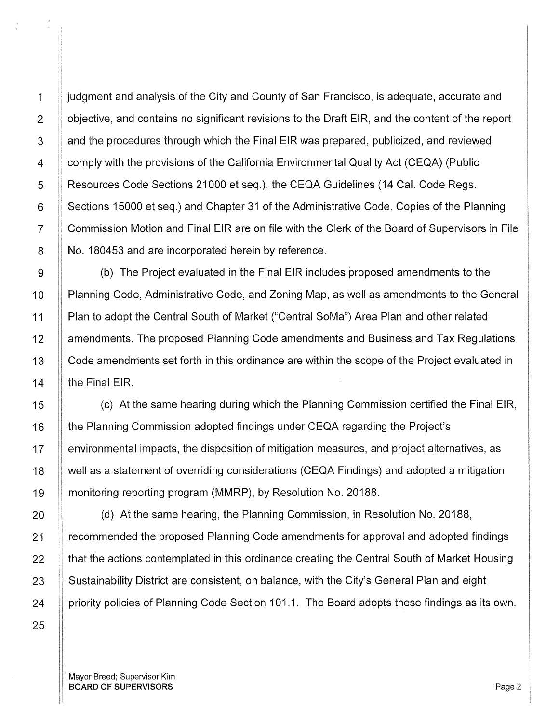25

1 **judgment and analysis of the City and County of San Francisco, is adequate, accurate and** 2 | objective, and contains no significant revisions to the Draft EIR, and the content of the report 3 | and the procedures through which the Final EIR was prepared, publicized, and reviewed 4 **Frank** comply with the provisions of the California Environmental Quality Act (CEQA) (Public 5 Resources Code Sections 21000 et seq.), the CEQA Guidelines (14 Cal. Code Regs. 6 Sections 15000 et seq.) and Chapter 31 of the Administrative Code. Copies of the Planning 7 Commission Motion and Final EIR are on file with the Clerk of the Board of Supervisors in File 8 | No. 180453 and are incorporated herein by reference.

9 | (b) The Project evaluated in the Final EIR includes proposed amendments to the 10 | Planning Code, Administrative Code, and Zoning Map, as well as amendments to the General 11 Plan to adopt the Central South of Market ("Central SoMa") Area Plan and other related 12 **A amendments. The proposed Planning Code amendments and Business and Tax Regulations** 13 | Code amendments set forth in this ordinance are within the scope of the Project evaluated in 14  $\parallel$  the Final EIR.

15 (c) At the same hearing during which the Planning Commission certified the Final EIR, 16 **the Planning Commission adopted findings under CEQA regarding the Project's** 17 | environmental impacts, the disposition of mitigation measures, and project alternatives, as 18 well as a statement of overriding considerations (CEQA Findings) and adopted a mitigation 19 monitoring reporting program (MMRP), by Resolution No. 20188.

20 | (d) At the same hearing, the Planning Commission, in Resolution No. 20188, 21 | recommended the proposed Planning Code amendments for approval and adopted findings  $22$   $\parallel$  that the actions contemplated in this ordinance creating the Central South of Market Housing 23 Sustainability District are consistent, on balance, with the City's General Plan and eight 24 | priority policies of Planning Code Section 101.1. The Board adopts these findings as its own.

Mayor Breed; Supervisor Kim BOARD OF SUPERVISORS And the state of the state of the state of the state of the state of the state of the state of the state of the state of the state of the state of the state of the state of the state of the state of th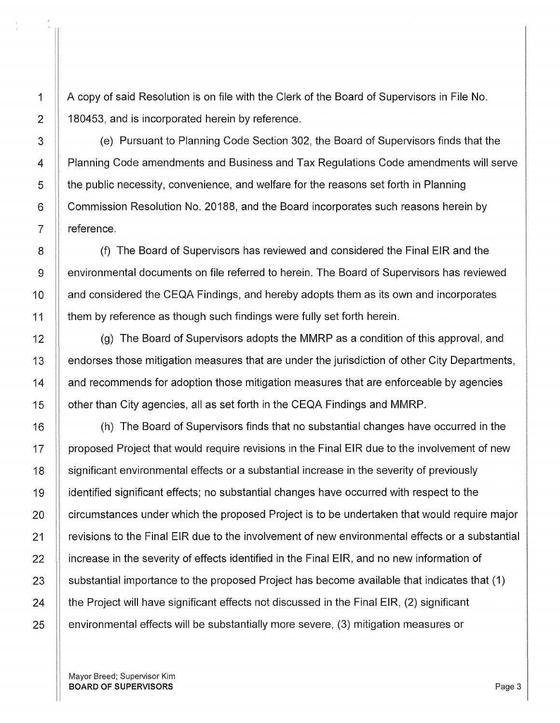1 A copy of said Resolution is on file with the Clerk of the Board of Supervisors in File No. 2 | 180453, and is incorporated herein by reference.

3 (e) Pursuant to Planning Code Section 302, the Board of Supervisors finds that the 4 Planning Code amendments and Business and Tax Regulations Code amendments will serve 5 the public necessity, convenience, and welfare for the reasons set forth in Planning 6 | Commission Resolution No. 20188, and the Board incorporates such reasons herein by  $7 \parallel$  reference.

8 (f) The Board of Supervisors has reviewed and considered the Final EIR and the 9 environmental documents on file referred to herein. The Board of Supervisors has reviewed 10 | and considered the CEQA Findings, and hereby adopts them as its own and incorporates 11 **them by reference as though such findings were fully set forth herein.** 

12 **(g)** The Board of Supervisors adopts the MMRP as a condition of this approval, and 13 | endorses those mitigation measures that are under the jurisdiction of other City Departments, 14 | and recommends for adoption those mitigation measures that are enforceable by agencies 15 | other than City agencies, all as set forth in the CEQA Findings and MMRP.

16 (h) The Board of Supervisors finds that no substantial changes have occurred in the 17 If proposed Project that would require revisions in the Final EIR due to the involvement of new 18 Significant environmental effects or a substantial increase in the severity of previously 19 identified significant effects; no substantial changes have occurred with respect to the 20 **F** circumstances under which the proposed Project is to be undertaken that would require major 21 **Figure 21** revisions to the Final EIR due to the involvement of new environmental effects or a substantial  $22$  | increase in the severity of effects identified in the Final EIR, and no new information of 23  $\parallel$  substantial importance to the proposed Project has become available that indicates that (1)  $24$   $\parallel$  the Project will have significant effects not discussed in the Final EIR, (2) significant 25  $\parallel$  environmental effects will be substantially more severe, (3) mitigation measures or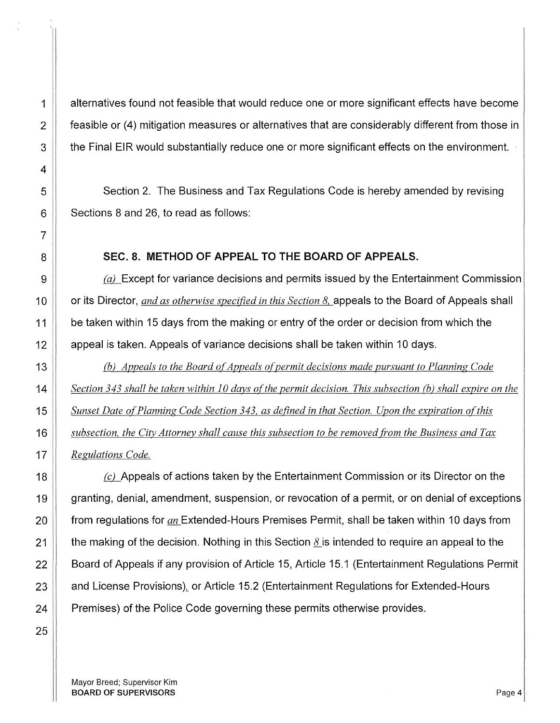1 alternatives found not feasible that would reduce one or more significant effects have become  $\parallel$  feasible or (4) mitigation measures or alternatives that are considerably different from those in **the Final EIR would substantially reduce one or more significant effects on the environment.** 

5 Section 2. The Business and Tax Regulations Code is hereby amended by revising | Sections 8 and 26, to read as follows:

#### **SEC. 8. METHOD OF APPEAL TO THE BOARD OF APPEALS.**

 $\parallel$  6  $\mu$  Except for variance decisions and permits issued by the Entertainment Commission **or its Director**, *and as otherwise specified in this Section 8*, appeals to the Board of Appeals shall **be taken within 15 days from the making or entry of the order or decision from which the** 12 || appeal is taken. Appeals of variance decisions shall be taken within 10 days.

**(b)** Appeals to the Board of Appeals of permit decisions made pursuant to Planning Code **Section 343 shall be taken within 10 days of the permit decision. This subsection (b) shall expire on the Sunset Date of Planning Code Section 343, as defined in that Section. Upon the expiration of this** *subsection, the City Attorney shall cause this subsection to be removed from the Business and Tax*  **Regulations Code.** 

 $\parallel$  (c) Appeals of actions taken by the Entertainment Commission or its Director on the 19 granting, denial, amendment, suspension, or revocation of a permit, or on denial of exceptions 20 from regulations for *an* Extended-Hours Premises Permit, shall be taken within 10 days from 21 the making of the decision. Nothing in this Section  $\delta$  is intended to require an appeal to the **Board of Appeals if any provision of Article 15, Article 15.1 (Entertainment Regulations Permit Audie 23** Audiense Provisions), or Article 15.2 (Entertainment Regulations for Extended-Hours  $\parallel$  Premises) of the Police Code governing these permits otherwise provides.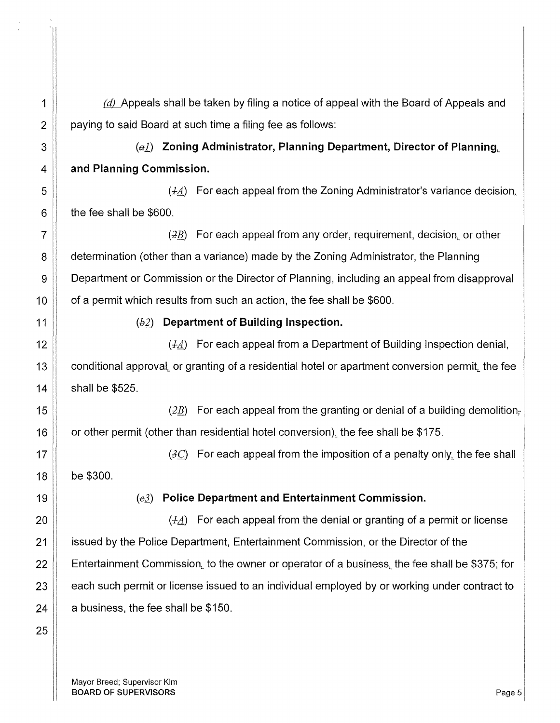$\parallel$  6  $\mu$  Appeals shall be taken by filing a notice of appeal with the Board of Appeals and **paying to said Board at such time a filing fee as follows:** 

**(al) Zoning Administrator, Planning Department, Director of Planning. 4 and Planning Commission.** 

 $\mathfrak{g}$   $\parallel$   $\qquad \qquad$  (*LA*) For each appeal from the Zoning Administrator's variance decision. | the fee shall be \$600.

 ||  $\sqrt{2B}$  For each appeal from any order, requirement, decision, or other **8** determination (other than a variance) made by the Zoning Administrator, the Planning **Department or Commission or the Director of Planning, including an appeal from disapproval**  $\parallel$  of a permit which results from such an action, the fee shall be \$600.

11 (b£) **Department of Building Inspection.** 

(..J.A.) For each appeal from a Department of Building Inspection denial,  $\parallel$  conditional approval, or granting of a residential hotel or apartment conversion permit, the fee shall be \$525.

**(i)** the same  $\left( \frac{2}{B} \right)$  and  $\left( \frac{2}{B} \right)$  are each appeal from the granting or denial of a building demolition- $\parallel$  or other permit (other than residential hotel conversion), the fee shall be \$175.

17  $\parallel$   $(3C)$  For each appeal from the imposition of a penalty only, the fee shall 18 be \$300.

(eJ) **Police Department and Entertainment Commission.** 

 $\parallel$  20  $\parallel$  7.4.) For each appeal from the denial or granting of a permit or license **issued by the Police Department, Entertainment Commission, or the Director of the**  $\parallel$  Entertainment Commission, to the owner or operator of a business, the fee shall be \$375; for  $\parallel$  each such permit or license issued to an individual employed by or working under contract to | a business, the fee shall be \$150.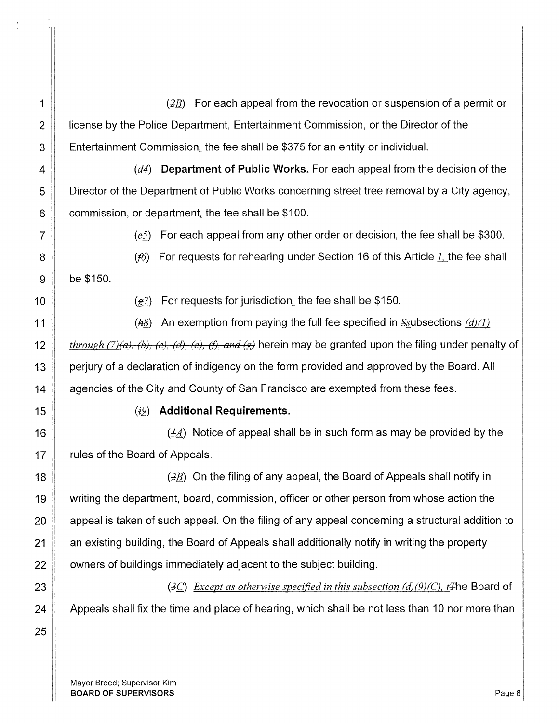1 ( $\parallel$   $(2B)$  For each appeal from the revocation or suspension of a permit or 2 **If License by the Police Department, Entertainment Commission, or the Director of the** 3 **Entertainment Commission, the fee shall be \$375 for an entity or individual.** 

4 (detail **Department of Public Works.** For each appeal from the decision of the 5 | Director of the Department of Public Works concerning street tree removal by a City agency,  $6$  | commission, or department, the fee shall be \$100.

7  $\parallel$  (es) For each appeal from any other order or decision, the fee shall be \$300.

8  $\parallel$  (f6) For requests for rehearing under Section 16 of this Article I, the fee shall  $9 \parallel$  be \$150.

10  $(g_7)$  For requests for jurisdiction, the fee shall be \$150.

11 (hs) An exemption from paying the full fee specified in S<sub>s</sub>ubsections  $(d)$  (1) *through (7)(a), (b), (c), (d), (e), (f), and (g)* herein may be granted upon the filing under penalty of **perigative 13** per periury of a declaration of indigency on the form provided and approved by the Board. All **A** agencies of the City and County of San Francisco are exempted from these fees.

25

# 15 *(i2)* **Additional Requirements.**

16  $\parallel$  16  $\parallel$  16  $\parallel$  16  $\parallel$  16  $\parallel$  16  $\parallel$  16  $\parallel$  16  $\parallel$  16  $\parallel$  16  $\parallel$  16  $\parallel$  16  $\parallel$  16  $\parallel$  16  $\parallel$  16  $\parallel$  16  $\parallel$  16  $\parallel$  16  $\parallel$  16  $\parallel$  16  $\parallel$  16  $\parallel$  16  $\parallel$  16  $\parallel$  16  $\parallel$  16  $\parallel$  16  $\parallel$  16  $\parallel$  16  $\$ 17 | rules of the Board of Appeals.

 $(22)$  On the filing of any appeal, the Board of Appeals shall notify in 19 Writing the department, board, commission, officer or other person from whose action the  $\parallel$  appeal is taken of such appeal. On the filing of any appeal concerning a structural addition to **an existing building, the Board of Appeals shall additionally notify in writing the property**  $\parallel$  owners of buildings immediately adjacent to the subject building.

23 ( $\exists$ C) *Except as otherwise specified in this subsection (d)(9)(C), t*<sup>The</sup> Board of 24 Appeals shall fix the time and place of hearing, which shall be not less than 10 nor more than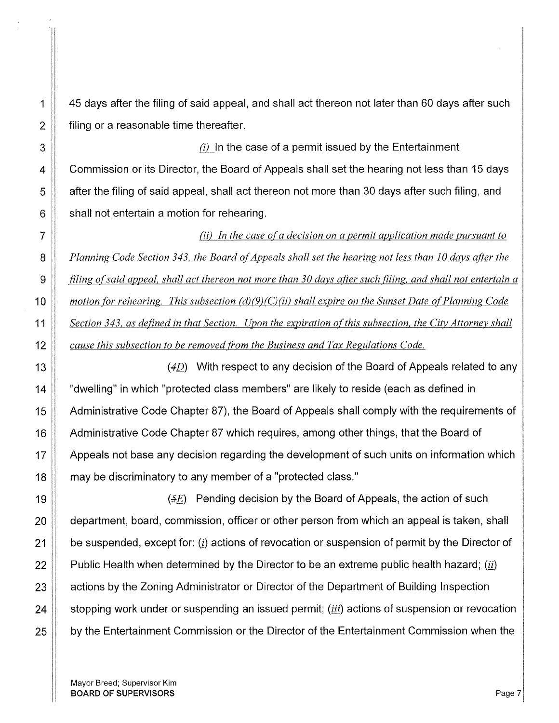$1 \parallel 45$  days after the filing of said appeal, and shall act thereon not later than 60 days after such  $2 \parallel$  filing or a reasonable time thereafter.

3  $\parallel$  3  $\parallel$   $\parallel$   $\parallel$   $\parallel$   $\parallel$  the case of a permit issued by the Entertainment 4 Commission or its Director, the Board of Appeals shall set the hearing not less than 15 days  $5$  | after the filing of said appeal, shall act thereon not more than 30 days after such filing, and  $6 \parallel$  shall not entertain a motion for rehearing.

*(ii) In the case o(a decision on a permit application made pursuant to Planning Code Section 343, the Board of Appeals shall set the hearing not less than 10 davs after the filing of said appeal, shall act thereon not more than 30 days after such filing, and shall not entertain a motion for rehearing. This subsection (d)(9)(C)(ii) shall expire on the Sunset Date of Planning Code* **Section 343, as defined in that Section.** Upon the expiration of this subsection, the City Attorney shall *cause this subsection to be removed from the Business and Tax Regulations Code.* 

13  $\parallel$  (4D) With respect to any decision of the Board of Appeals related to any 14 T "dwelling" in which "protected class members" are likely to reside (each as defined in 15 Administrative Code Chapter 87), the Board of Appeals shall comply with the requirements of 16 Administrative Code Chapter 87 which requires, among other things, that the Board of 17 Appeals not base any decision regarding the development of such units on information which 18 **may be discriminatory to any member of a "protected class."** 

 $\parallel$   $\qquad \qquad$   $\qquad$  (5E) Pending decision by the Board of Appeals, the action of such **department, board, commission, officer or other person from which an appeal is taken, shall**  $\parallel$  be suspended, except for: (*i*) actions of revocation or suspension of permit by the Director of **Public Health when determined by the Director to be an extreme public health hazard;** (*ii*) 23 | actions by the Zoning Administrator or Director of the Department of Building Inspection 24 Stopping work under or suspending an issued permit; *(iii)* actions of suspension or revocation **by the Entertainment Commission or the Director of the Entertainment Commission when the**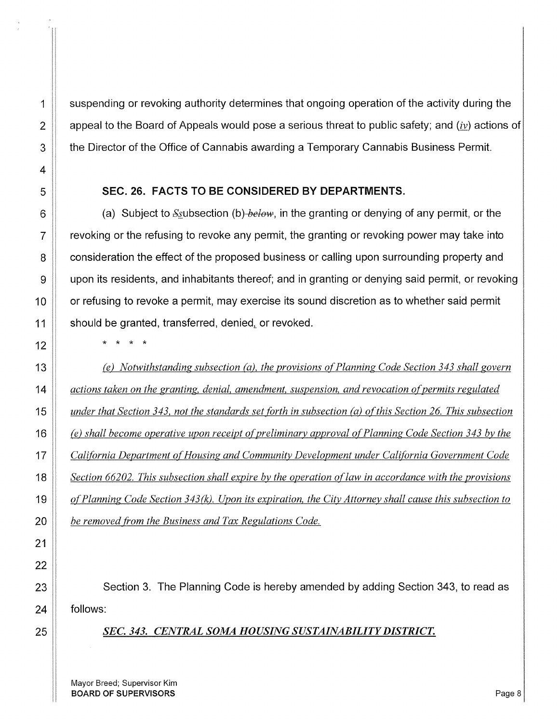1 suspending or revoking authority determines that ongoing operation of the activity during the 2  $\parallel$  appeal to the Board of Appeals would pose a serious threat to public safety; and *(iv)* actions of 3 **the Director of the Office of Cannabis awarding a Temporary Cannabis Business Permit.** 

## SEC. 26. FACTS TO BE CONSIDERED BY DEPARTMENTS.

(a) Subject to &~ubsection (b) *below,* in the granting or denying of any permit, or the revoking or the refusing to revoke any permit, the granting or revoking power may take into consideration the effect of the proposed business or calling upon surrounding property and upon its residents, and inhabitants thereof; and in granting or denying said permit, or revoking or refusing to revoke a permit, may exercise its sound discretion as to whether said permit should be granted, transferred, denied, or revoked.

\* \* \* \*

*(e) Notwithstanding subsection (a), the provisions of Planning Code Section 343 shall govern actions taken on the granting, denial, amendment, suspension, and revocation of permits regulated under that Section 343, not the standards set forth in subsection (a) of this Section 26. This subsection (e)* shall become operative upon receipt of preliminary approval of Planning Code Section 343 by the *California Department o[Housing and Community Development under California Government Code Section 66202. This subsection shall expire by the operation oflaw in accordance with the provisions of Planning Code Section 343 (k). Upon its expiration, the City Attorney shall cause this subsection to be removed from the Business and Tax Regulations Code.* 

23 | Section 3. The Planning Code is hereby amended by adding Section 343, to read as 24 || follows:

## 25 *SEC. 343. CENTRAL SOMA HOUSING SUSTAINABILITY DISTRICT.*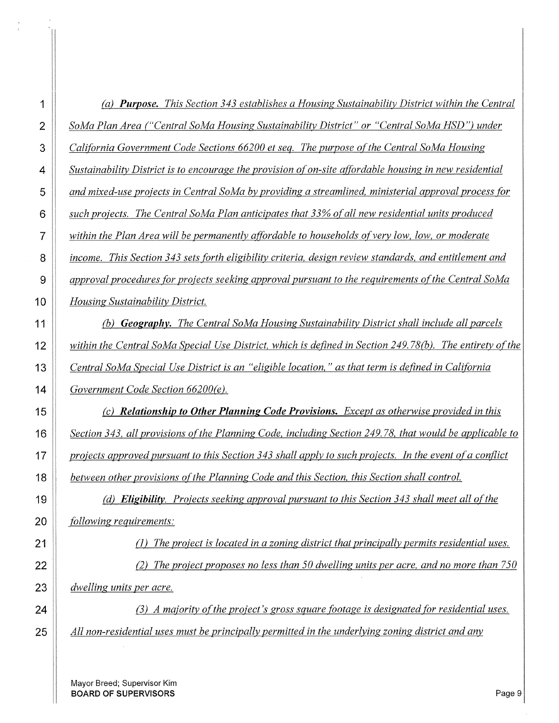|    | (a) <b>Purpose.</b> This Section 343 establishes a Housing Sustainability District within the Central    |
|----|----------------------------------------------------------------------------------------------------------|
| 2  | SoMa Plan Area ("Central SoMa Housing Sustainability District" or "Central SoMa HSD") under              |
| 3  | California Government Code Sections 66200 et seq. The purpose of the Central SoMa Housing                |
| 4  | Sustainability District is to encourage the provision of on-site affordable housing in new residential   |
| 5  | and mixed-use projects in Central SoMa by providing a streamlined, ministerial approval process for      |
| 6  | such projects. The Central SoMa Plan anticipates that 33% of all new residential units produced          |
| 7  | within the Plan Area will be permanently affordable to households of very low, low, or moderate          |
| 8  | income. This Section 343 sets forth eligibility criteria, design review standards, and entitlement and   |
| 9  | approval procedures for projects seeking approval pursuant to the requirements of the Central SoMa       |
| 10 | Housing Sustainability District.                                                                         |
| 11 | (b) <b>Geography.</b> The Central SoMa Housing Sustainability District shall include all parcels         |
| 12 | within the Central SoMa Special Use District, which is defined in Section 249.78(b). The entirety of the |
| 13 | Central SoMa Special Use District is an "eligible location," as that term is defined in California       |
| 14 | Government Code Section 66200(e).                                                                        |
| 15 | (c) Relationship to Other Planning Code Provisions. Except as otherwise provided in this                 |
| 16 | Section 343, all provisions of the Planning Code, including Section 249.78, that would be applicable to  |
| 17 | projects approved pursuant to this Section 343 shall apply to such projects. In the event of a conflict  |
| 18 | between other provisions of the Planning Code and this Section, this Section shall control.              |
| 19 | (d) Eligibility. Projects seeking approval pursuant to this Section 343 shall meet all of the            |
| 20 | following requirements:                                                                                  |
| 21 | The project is located in a zoning district that principally permits residential uses.                   |
| 22 | The project proposes no less than 50 dwelling units per acre, and no more than 750                       |
| 23 | dwelling units per acre.                                                                                 |
| 24 | (3) A majority of the project's gross square footage is designated for residential uses.                 |
| 25 | All non-residential uses must be principally permitted in the underlying zoning district and any         |
|    |                                                                                                          |

Mayor Breed; Supervisor Kim **BOARD OF SUPERVISORS** Page 9

 $\bar{\bar{z}}$ 

 $\frac{1}{\epsilon}$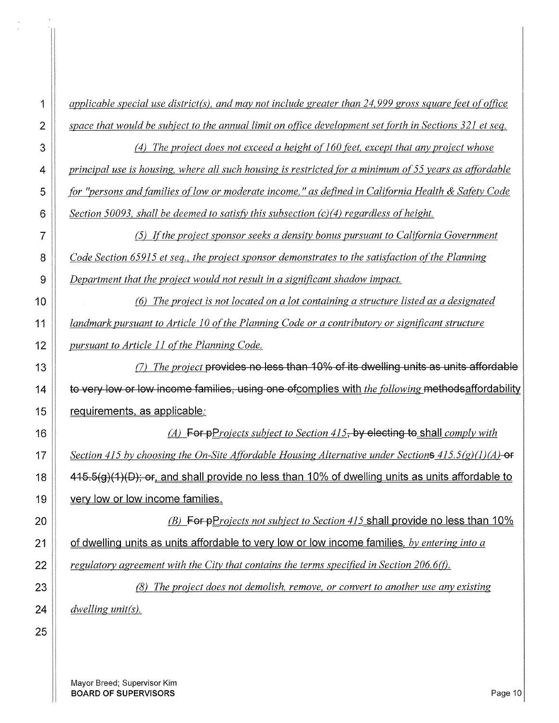*applicable special use district{s), and may not include greater than 24,999 gross square teet ofotfice space that would be subject to the annual limit on office development set forth in Sections 32I et seq. (4) The project does not exceed a height ofi60 teet, except that any project whose principal use is housing, where all such housing is restricted for a minimum of 55 years as affordable* **.for "persons and families of low or moderate income," as defined in California Health & Safety Code** *Section 50093, shall be deemed to satisfY this subsection (c)(4) regardless ofheight.*  {5) *!{the project sponsor seeks a density bonus pursuant to California Government Code Section 659I5 et seq., the project sponsor demonstrates to the satisfaction ofthe Planning Department that the project would not result in a significant shadow impact.*  **(6)** The project is not located on a lot containing a structure listed as a designated *landmark pursuant to Article 10 of the Planning Code or a contributory or significant structure pursuant to Article 11 of the Planning Code.* **(a)** The project **provides no less than 10% of its dwelling units as units affordable** to very low or low income families, using one ofcomplies with *the following* methodsaffordability 15 | requirements, as applicable. !&\_~Projects *subject to Section 4I5,* by electing to shall *comply with Section 4I5 by choosing the On-Site Affordable Housing Alternative under Sections 4I5.5(g)(l )(A)-ef*   $\parallel$  415.5(g)(1)(D); or, and shall provide no less than 10% of dwelling units as units affordable to **very low or low income families. .** *(B)* For pProjects not subject to Section 415 shall provide no less than 10% **of dwelling units as units affordable to very low or low income families**, by entering into a *regulatory agreement with the City that contains the terms specified in Section 206.6(f). (8) The project does not demolish, remove, or convert to another use any existing dwelling unit{s).*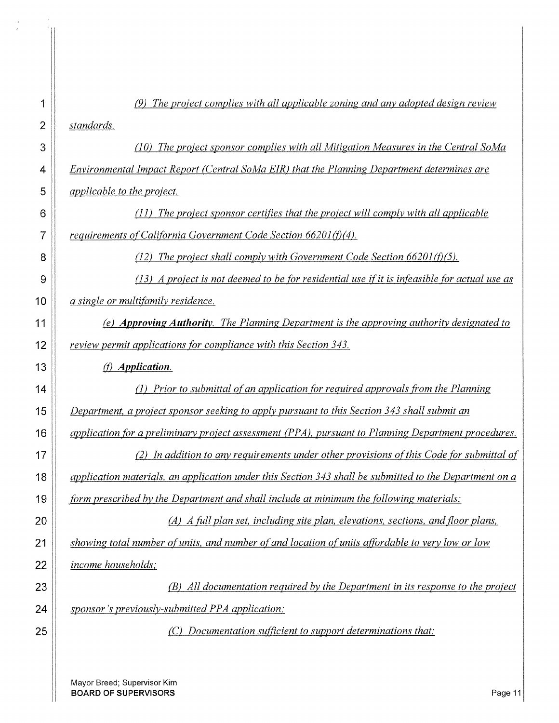| 1  | The project complies with all applicable zoning and any adopted design review                          |
|----|--------------------------------------------------------------------------------------------------------|
| 2  | standards.                                                                                             |
| 3  | (10) The project sponsor complies with all Mitigation Measures in the Central SoMa                     |
| 4  | Environmental Impact Report (Central SoMa EIR) that the Planning Department determines are             |
| 5  | <i>applicable to the project.</i>                                                                      |
| 6  | The project sponsor certifies that the project will comply with all applicable                         |
| 7  | requirements of California Government Code Section $66201(f)(4)$ .                                     |
| 8  | (12) The project shall comply with Government Code Section $66201(f)(5)$ .                             |
| 9  | $(13)$ A project is not deemed to be for residential use if it is infeasible for actual use as         |
| 10 | a single or multifamily residence.                                                                     |
| 11 | (e) Approving Authority. The Planning Department is the approving authority designated to              |
| 12 | review permit applications for compliance with this Section 343.                                       |
| 13 | (f) Application.                                                                                       |
| 14 | (1) Prior to submittal of an application for required approvals from the Planning                      |
| 15 | Department, a project sponsor seeking to apply pursuant to this Section 343 shall submit an            |
| 16 | application for a preliminary project assessment (PPA), pursuant to Planning Department procedures.    |
| 17 | (2) In addition to any requirements under other provisions of this Code for submittal of               |
| 18 | application materials, an application under this Section 343 shall be submitted to the Department on a |
| 19 | form prescribed by the Department and shall include at minimum the following materials:                |
| 20 | (A) A full plan set, including site plan, elevations, sections, and floor plans,                       |
| 21 | showing total number of units, and number of and location of units affordable to very low or low       |
| 22 | income households;                                                                                     |
| 23 | (B) All documentation required by the Department in its response to the project                        |
| 24 | sponsor's previously-submitted PPA application;                                                        |
| 25 | Documentation sufficient to support determinations that:                                               |
|    |                                                                                                        |

Mayor Breed; Supervisor Kim **BOARD OF SUPERVISORS** Page 11

 $\bar{a}$ 

 $\mathbb{N}$ 

 $\frac{1}{\sigma}$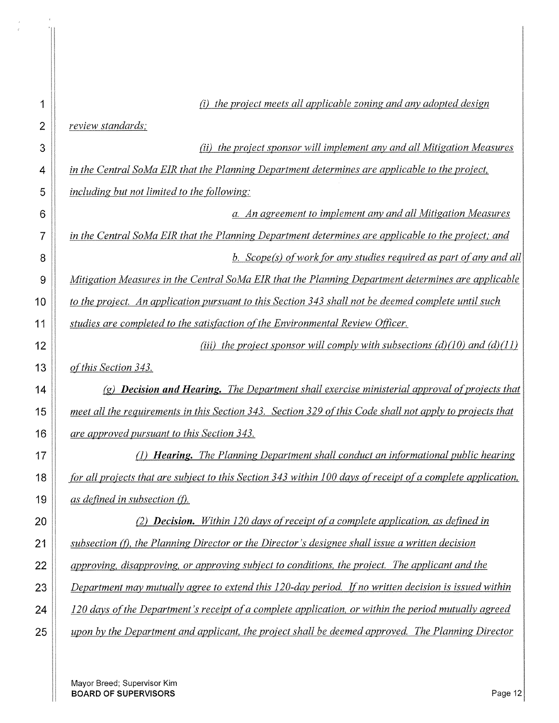|    | (i) the project meets all applicable zoning and any adopted design                                          |
|----|-------------------------------------------------------------------------------------------------------------|
| 2  | review standards;                                                                                           |
| 3  | (ii) the project sponsor will implement any and all Mitigation Measures                                     |
| 4  | in the Central SoMa EIR that the Planning Department determines are applicable to the project,              |
| 5  | <i>including but not limited to the following:</i>                                                          |
| 6  | a. An agreement to implement any and all Mitigation Measures                                                |
| 7  | in the Central SoMa EIR that the Planning Department determines are applicable to the project; and          |
| 8  | b. Scope(s) of work for any studies required as part of any and all                                         |
| 9  | Mitigation Measures in the Central SoMa EIR that the Planning Department determines are applicable          |
| 10 | to the project. An application pursuant to this Section 343 shall not be deemed complete until such         |
| 11 | studies are completed to the satisfaction of the Environmental Review Officer.                              |
| 12 | (iii) the project sponsor will comply with subsections (d)(10) and (d)(11)                                  |
| 13 | of this Section 343.                                                                                        |
| 14 | $(g)$ <b>Decision and Hearing.</b> The Department shall exercise ministerial approval of projects that      |
| 15 | meet all the requirements in this Section 343. Section 329 of this Code shall not apply to projects that    |
| 16 | are approved pursuant to this Section 343.                                                                  |
| 17 | (1) <b>Hearing.</b> The Planning Department shall conduct an informational public hearing                   |
| 18 | for all projects that are subject to this Section 343 within 100 days of receipt of a complete application, |
| 19 | as defined in subsection (f).                                                                               |
| 20 | <b>Decision.</b> Within 120 days of receipt of a complete application, as defined in                        |
| 21 | subsection (f), the Planning Director or the Director's designee shall issue a written decision             |
| 22 | approving, disapproving, or approving subject to conditions, the project. The applicant and the             |
| 23 | Department may mutually agree to extend this 120-day period. If no written decision is issued within        |
| 24 | 120 days of the Department's receipt of a complete application, or within the period mutually agreed        |
| 25 | upon by the Department and applicant, the project shall be deemed approved. The Planning Director           |

 $\bar{\bar{x}}$ 

 $\frac{1}{2}$ 

 $\bar{\bar{z}}$ 

 $\hat{\mathbf{r}}$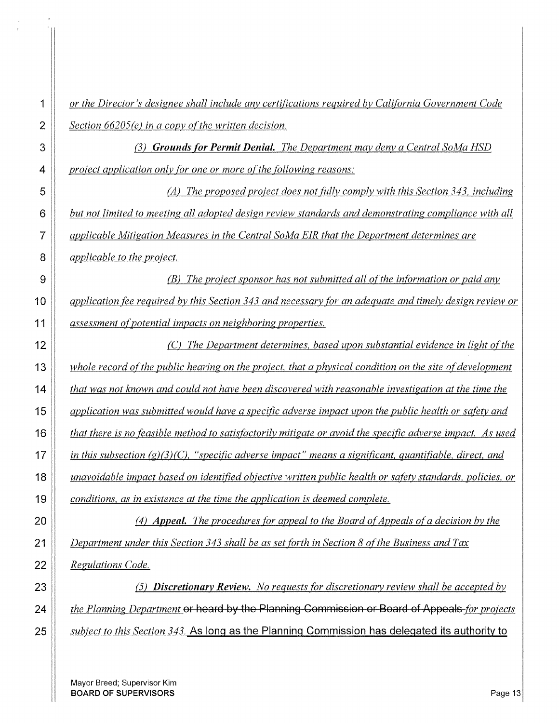*or the Director's designee shall include any certifications required by California Government Code Section 66205(e) in a copy of the written decision. (3) Grounds {or Permit Denial. The Department may deny a Central SoMa HSD project application only for one or more of the following reasons: (A) The proposed project does not fitlly comply with this Section 343, including but not limited to meeting all adopted design review standards and demonstrating compliance with all applicable Mitigation Measures in the Central SoMa EIR that the Department determines are applicable to the project. (B) The project sponsor has not submitted all of the information or paid any* $\theta$ *application fee required by this Section 343 and necessary [or an adequate and timely design review or assessment of potential impacts on neighboring properties. (C) The Department determines, based upon substantial evidence in light of the whole record of the public hearing on the project, that a physical condition on the site of development that was not known and could not have been discovered with reasonable investigation at the time the application was submitted would have a specific adverse impact upon the public health or safety and that there is no feasible method to satisfactorily mitigate or avoid the specific adverse impact. As used in this subsection (g)(3)(C), "specific adverse impact" means a significant, quantifiable, direct, and unavoidable impact based on identified objective written public health or safety standards, policies, or conditions, as in existence at the time the application is deemed complete. (4) Appeal. The procedures for appeal to the Board of Appeals of a decision by the Department under this Section 343 shall be as set forth in Section 8 of the Business and Tax Regulations Code. (5) Discretionary Review. No requests [or discretionary review shall be accepted by ii* the Planning Department or heard by the Planning Commission or Board of Appeals-for projects *projects subject to this Section 343.* **As long as the Planning Commission has delegated its authority to**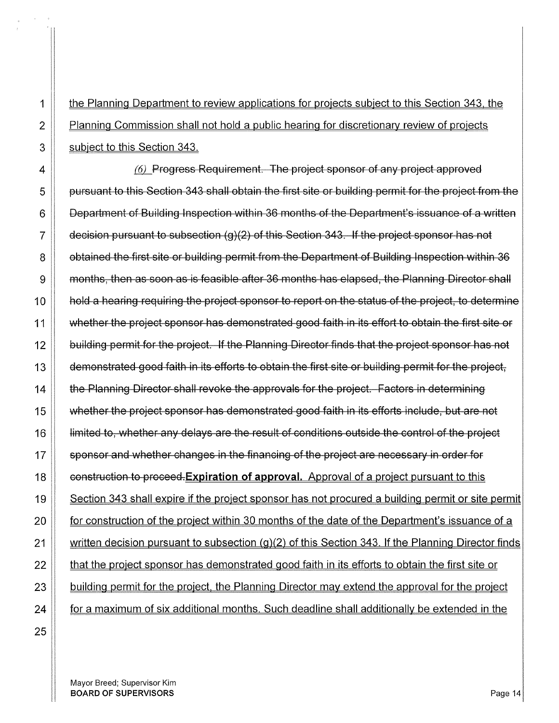1 the Planning Department to review applications for projects subject to this Section 343, the **Planning Commission shall not hold a public hearing for discretionary review of projects** 3 Subject to this Section 343.

 $\parallel$   $\qquad$   $\qquad$   $\qquad$   $\qquad$  Progress Requirement. The project sponsor of any project approved 5 | pursuant to this Section 343 shall obtain the first site or building permit for the project from the  $6 \parallel$  Department of Building Inspection within 36 months of the Department's issuance of a written  $\parallel$  decision pursuant to subsection (g)(2) of this Section 343. If the project sponsor has not **8 obtained the first site or building permit from the Department of Building Inspection within 36 Months, then as soon as is feasible after** 36 months has elapsed, the Planning Director shall **||** hold a hearing requiring the project sponsor to report on the status of the project, to determine 11 Whether the project sponsor has demonstrated good faith in its effort to obtain the first site or **building permit for the project. If the Planning Director finds that the project sponsor has not demonstrated good faith in its efforts to obtain the first site or building permit for the project, the Planning Director shall revoke the approvals for the project. Factors in determining whether the project sponsor has demonstrated good faith in its efforts include, but are not**   $\parallel$  limited to, whether any delays are the result of conditions outside the control of the project  $\parallel$  sponsor and whether changes in the financing of the project are necessary in order for **construction to proceed. Expiration of approval.** Approval of a project pursuant to this 19 Section 343 shall expire if the project sponsor has not procured a building permit or site permit **for construction of the project within** 30 months of the date of the Department's issuance of a  $\parallel$  written decision pursuant to subsection (g)(2) of this Section 343. If the Planning Director finds  $\parallel$  that the project sponsor has demonstrated good faith in its efforts to obtain the first site or | building permit for the project, the Planning Director may extend the approval for the project  $\parallel$  for a maximum of six additional months. Such deadline shall additionally be extended in the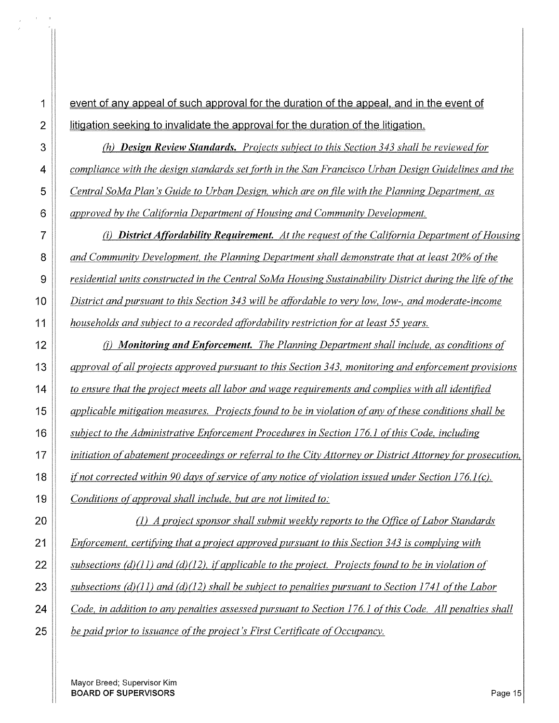**1 event of any appeal of such approval for the duration of the appeal, and in the event of i** litigation seeking to invalidate the approval for the duration of the litigation.

**(b)** *(h)* **Design Review Standards.** Projects subject to this Section 343 shall be reviewed for *compliance with the design standards set fOrth in the San Francisco Urban Design Guidelines and the Central SoMa Plan's Guide to Urban Design, which are on file with the Planning Department, as approved by the CalifOrnia Department of Housing and Community Development.* 

*(i) District A(fordability Requirement. At the request o{the CalifOrnia Department of Housing and Community Development, the Planning Department shall demonstrate that at least 20% ofthe residential units constructed in the Central SoMa Housing Sustainability District during the life o{the District and pursuant to this Section 343 will be atfprdable to very low, low-, and moderate-income households and subject to a recorded atfordability restriction {Or at least 55 years.* 

**(j)** *Monitoring and Enforcement. The Planning Department shall include, as conditions of approval of all projects approved pursuant to this Section 343, monitoring and enforcement provisions to ensure that the project meets all labor and wage requirements and complies with all identified applicable mitigation measures. Projects fOund to be in violation ofany o{these conditions shall be subject to the Administrative Enforcement Procedures in Section 176.1 o{this Code, including iinitiation of abatement proceedings or referral to the City Attorney or District Attorney for prosecution, if not corrected within 90 days ofservice of any notice of violation issued under Section 176.1 (c). Conditions ofapproval shall include, but are not limited to:* 

*(I) A project sponsor shall submit weekly reports to the O([ice ofLabor Standards Enforcement, certifYing that a project approved pursuant to this Section 343 is complying with subsections (d)(l1) and (d)(l2), if applicable to the project. Projects found to be in violation of subsections (d)(ll) and (d)(l2) shall be subject to penalties pursuant to Section 1741 ofthe Labor Code, in addition to any penalties assessed pursuant to Section 176.1 ofthis Code. All penalties shall be paid prior to issuance oft he project's First Certificate of Occupancy.*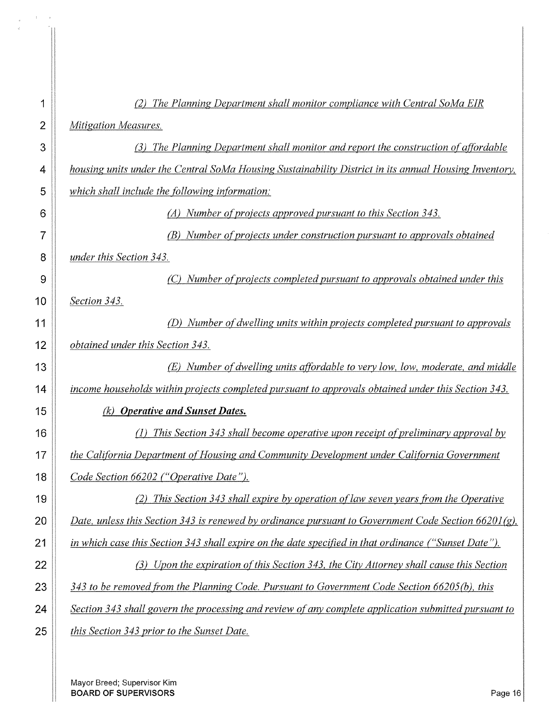| 1  | The Planning Department shall monitor compliance with Central SoMa EIR                                 |
|----|--------------------------------------------------------------------------------------------------------|
| 2  | Mitigation Measures.                                                                                   |
| 3  | (3) The Planning Department shall monitor and report the construction of affordable                    |
| 4  | housing units under the Central SoMa Housing Sustainability District in its annual Housing Inventory,  |
| 5  | which shall include the following information:                                                         |
| 6  | (A) Number of projects approved pursuant to this Section 343.                                          |
| 7  | Number of projects under construction pursuant to approvals obtained                                   |
| 8  | under this Section 343.                                                                                |
| 9  | Number of projects completed pursuant to approvals obtained under this                                 |
| 10 | Section 343.                                                                                           |
| 11 | Number of dwelling units within projects completed pursuant to approvals<br>(D)                        |
| 12 | obtained under this Section 343.                                                                       |
| 13 | Number of dwelling units affordable to very low, low, moderate, and middle                             |
| 14 | income households within projects completed pursuant to approvals obtained under this Section 343.     |
| 15 | <b>Operative and Sunset Dates.</b><br>(k)                                                              |
| 16 | This Section 343 shall become operative upon receipt of preliminary approval by                        |
| 17 | the California Department of Housing and Community Development under California Government             |
| 18 | Code Section 66202 ("Operative Date").                                                                 |
| 19 | This Section 343 shall expire by operation of law seven years from the Operative<br>(2)                |
| 20 | Date, unless this Section 343 is renewed by ordinance pursuant to Government Code Section $66201(g)$ , |
| 21 | in which case this Section 343 shall expire on the date specified in that ordinance ("Sunset Date").   |
| 22 | (3) Upon the expiration of this Section 343, the City Attorney shall cause this Section                |
| 23 | 343 to be removed from the Planning Code. Pursuant to Government Code Section 66205(b), this           |
| 24 | Section 343 shall govern the processing and review of any complete application submitted pursuant to   |
| 25 | this Section 343 prior to the Sunset Date.                                                             |
|    |                                                                                                        |

Mayor Breed; Supervisor Kim **BOARD OF SUPERVISORS** Page 16

 $\Lambda$  $\sim$   $\mu$ 

 $\begin{array}{c} \circ \\ \hline \end{array}$ 

 $\boldsymbol{s}$ 

 $\vec{q}$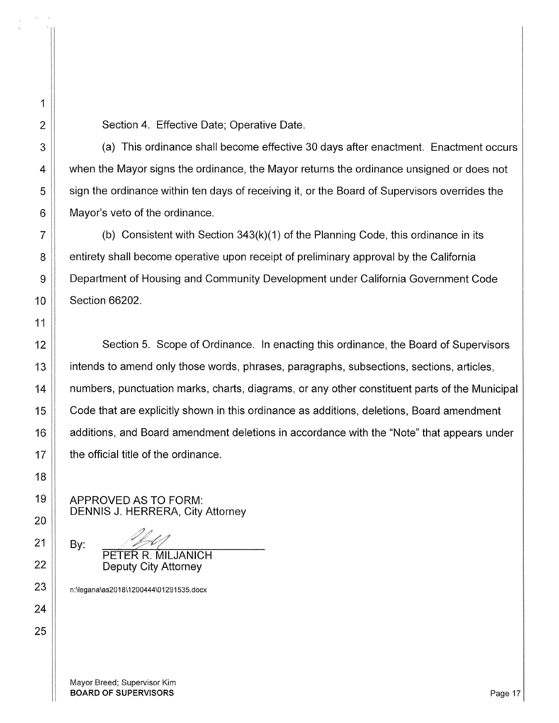2 | Section 4. Effective Date; Operative Date.

3 A capies 1 and 3 and 3 and 3 and 3 and 3 and 3 and 3 and 4 and 4 and 5 and 4 and 5 and 4 and 5 and 4 and 5 and 4 and 5 and 4 and 4 and 4 and 4 and 4 and 4 and 4 and 4 and 4 and 4 and 4 and 4 and 4 and 4 and 4 and 4 and 4 4  $\parallel$  when the Mayor signs the ordinance, the Mayor returns the ordinance unsigned or does not 5 | sign the ordinance within ten days of receiving it, or the Board of Supervisors overrides the  $6$  | Mayor's veto of the ordinance.

 $7 \parallel$  (b) Consistent with Section 343(k)(1) of the Planning Code, this ordinance in its 8 **8** entirety shall become operative upon receipt of preliminary approval by the California 9 | Department of Housing and Community Development under California Government Code 10 | Section 66202.

12 Section 5. Scope of Ordinance. In enacting this ordinance, the Board of Supervisors 13 **i** intends to amend only those words, phrases, paragraphs, subsections, sections, articles, 14 | numbers, punctuation marks, charts, diagrams, or any other constituent parts of the Municipal 15 Code that are explicitly shown in this ordinance as additions, deletions, Board amendment 16 **A** additions, and Board amendment deletions in accordance with the "Note" that appears under  $17$   $\parallel$  the official title of the ordinance.

APPROVED AS TO FORM: DENNIS J. HERRERA, City Attorney

> PETER R. MILJANICH Deputy City Attorney

23 | n:\legana\as2018\1200444\01291535.docx

Mayor Breed; Supervisor Kim BOARD OF SUPERVISORS **Page 17** 

1

11

18

19

20

21

22

24

25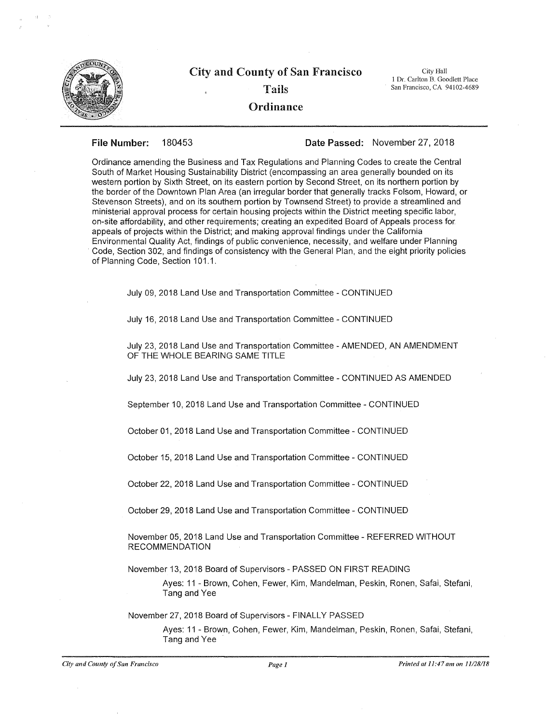

# City and County of San Francisco City Hall Tails

#### **Ordinance**

I Dr. Carlton B. Goodlett Place San Francisco, CA 94102-4689

#### **File Number:** 180453 **Date Passed:** November 27, 2018

Ordinance amending the Business and Tax Regulations and Planning Codes to create the Central South of Market Housing Sustainability District (encompassing an area generally bounded on its western portion by Sixth Street, on its eastern portion by Second Street, on its northern portion by the border of the Downtown Plan Area (an irregular border that generally tracks Folsom, Howard, or Stevenson Streets), and on its southern portion by Townsend Street) to provide a streamlined and ministerial approval process for certain housing projects within the District meeting specific labor, on-site affordability, and other requirements; creating an expedited Board of Appeals process for appeals of projects within the District; and making approval findings under the California Environmental Quality Act, findings of public convenience, necessity, and welfare under Planning Code, Section 302, and findings of consistency with the General Plan, and the eight priority policies of Planning Code, Section 101.1.

July 09, 2018 Land Use and Transportation Committee - CONTINUED

July 16, 2018 Land Use and Transportation Committee - CONTINUED

July 23, 2018 Land Use and Transportation Committee- AMENDED, AN AMENDMENT OF THE WHOLE BEARING SAME TITLE

July 23, 2018 Land Use and Transportation Committee- CONTINUED AS AMENDED

September 10, 2018 Land Use and Transportation Committee- CONTINUED

October 01, 2018 Land Use and Transportation Committee- CONTINUED

October 15, 2018 Land Use and Transportation Committee- CONTINUED

October 22, 2018 Land Use and Transportation Committee- CONTINUED

October 29, 2018 Land Use and Transportation Committee- CONTINUED

November 05, 2018 Land Use and Transportation Committee- REFERRED WITHOUT RECOMMENDATION

November 13, 2018 Board of Supervisors- PASSED ON FIRST READING

Ayes: 11 - Brown, Cohen, Fewer, Kim, Mandelman, Peskin, Ronen, Safai, Stefani, Tang and Yee

November 27, 2018 Board of Supervisors - FINALLY PASSED

Ayes: 11 - Brown, Cohen, Fewer, Kim, Mandelman, Peskin, Ronen, Safai, Stefani, Tang and Yee